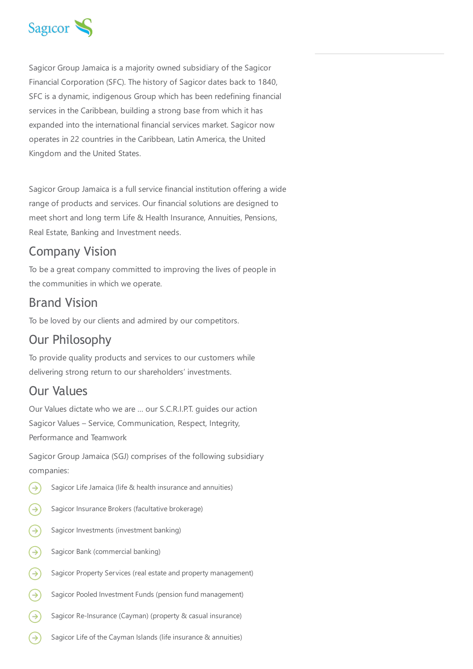

Sagicor Group Jamaica is a majority owned subsidiary of the Sagicor Financial Corporation (SFC). The history of Sagicor dates back to 1840, SFC is a dynamic, indigenous Group which has been redefining financial services in the Caribbean, building a strong base from which it has expanded into the international financial services market. Sagicor now operates in 22 countries in the Caribbean, Latin America, the United Kingdom and the United States.

Sagicor Group Jamaica is a full service financial institution offering a wide range of products and services. Our financial solutions are designed to meet short and long term Life & Health Insurance, Annuities, Pensions, Real Estate, Banking and Investment needs.

## Company Vision

To be a great company committed to improving the lives of people in the communities in which we operate.

#### Brand Vision

To be loved by our clients and admired by our competitors.

# Our Philosophy

To provide quality products and services to our customers while delivering strong return to our shareholders' investments.

## Our Values

Our Values dictate who we are … our S.C.R.I.P.T. guides our action Sagicor Values – Service, Communication, Respect, Integrity, Performance and Teamwork

Sagicor Group Jamaica (SGJ) comprises of the following subsidiary companies:

- Sagicor Life Jamaica (life & health insurance and annuities)  $(\Rightarrow)$
- ⊝ Sagicor Insurance Brokers (facultative brokerage)
- ⊝ Sagicor Investments (investment banking)
- ⊛ Sagicor Bank (commercial banking)
- ⊝ Sagicor Property Services (real estate and property management)
- ⊝ Sagicor Pooled Investment Funds (pension fund management)
- ⊝ Sagicor Re-Insurance (Cayman) (property & casual insurance)
- ⊖ Sagicor Life of the Cayman Islands (life insurance & annuities)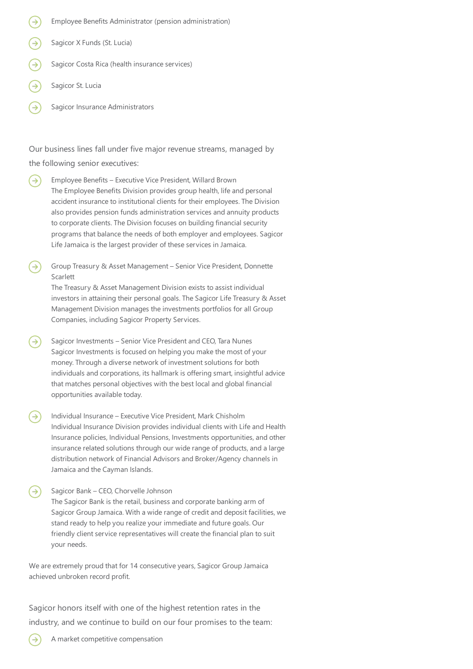- Employee Benefits Administrator (pension administration)
- Sagicor X Funds (St. Lucia)
- Sagicor Costa Rica (health insurance services)
- Sagicor St. Lucia
- Sagicor Insurance Administrators

Our business lines fall under five major revenue streams, managed by the following senior executives:

- → Employee Benefits – Executive Vice President, Willard Brown The Employee Benefits Division provides group health, life and personal accident insurance to institutional clients for their employees. The Division also provides pension funds administration services and annuity products to corporate clients. The Division focuses on building financial security programs that balance the needs of both employer and employees. Sagicor Life Jamaica is the largest provider of these services in Jamaica.
- Group Treasury & Asset Management Senior Vice President, Donnette Scarlett

The Treasury & Asset Management Division exists to assist individual investors in attaining their personal goals. The Sagicor Life Treasury & Asset Management Division manages the investments portfolios for all Group Companies, including Sagicor Property Services.

- Sagicor Investments Senior Vice President and CEO, Tara Nunes Sagicor Investments is focused on helping you make the most of your money. Through a diverse network of investment solutions for both individuals and corporations, its hallmark is offering smart, insightful advice that matches personal objectives with the best local and global financial opportunities available today.
- Individual Insurance Executive Vice President, Mark Chisholm  $\rightarrow)$ Individual Insurance Division provides individual clients with Life and Health Insurance policies, Individual Pensions, Investments opportunities, and other insurance related solutions through our wide range of products, and a large distribution network of Financial Advisors and Broker/Agency channels in Jamaica and the Cayman Islands.
- Sagicor Bank CEO, Chorvelle Johnson The Sagicor Bank is the retail, business and corporate banking arm of Sagicor Group Jamaica. With a wide range of credit and deposit facilities, we stand ready to help you realize your immediate and future goals. Our friendly client service representatives will create the financial plan to suit your needs.

We are extremely proud that for 14 consecutive years, Sagicor Group Jamaica achieved unbroken record profit.

Sagicor honors itself with one of the highest retention rates in the industry, and we continue to build on our four promises to the team: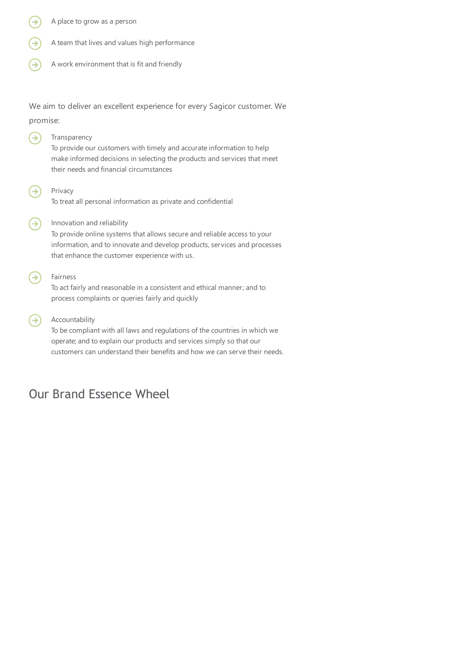- A place to grow as a person
- A team that lives and values high performance
- A work environment that is fit and friendly

We aim to deliver an excellent experience for every Sagicor customer. We promise:

- ⊝ Transparency To provide our customers with timely and accurate information to help make informed decisions in selecting the products and services that meet their needs and financial circumstances ∍ Privacy To treat all personal information as private and confidential Innovation and reliability  $\rightarrow$ To provide online systems that allows secure and reliable access to your information, and to innovate and develop products, services and processes that enhance the customer experience with us. Fairness  $\rightarrow$ To act fairly and reasonable in a consistent and ethical manner; and to process complaints or queries fairly and quickly
- Accountability  $\rightarrow$

To be compliant with all laws and regulations of the countries in which we operate; and to explain our products and services simply so that our customers can understand their benefits and how we can serve their needs.

## Our Brand Essence Wheel